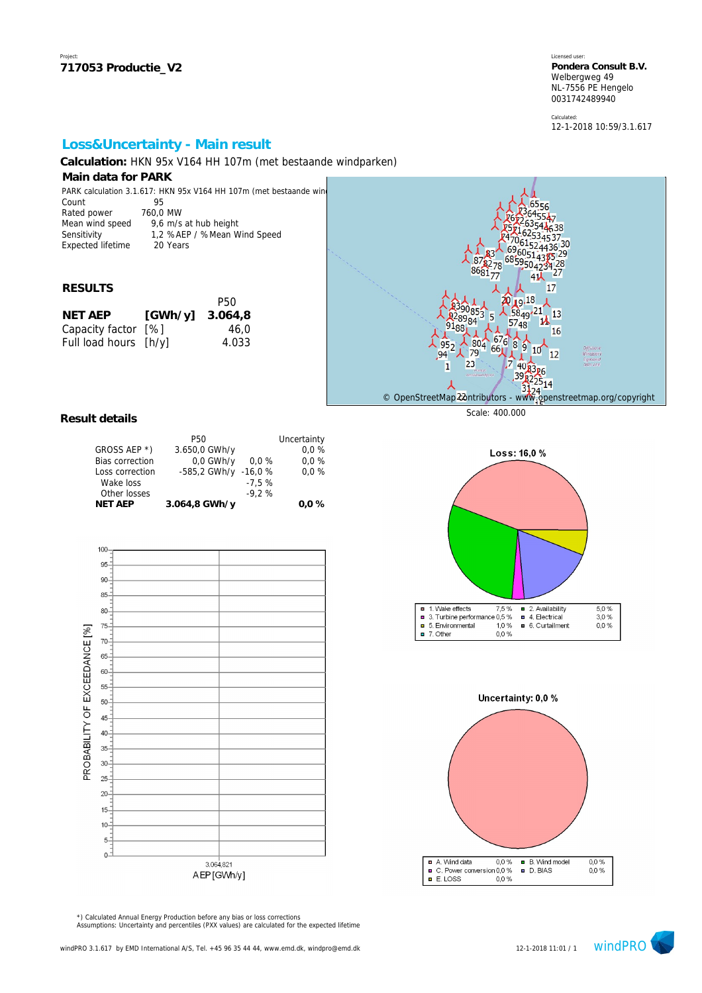Calculated: 12-1-2018 10:59/3.1.617

## **Loss&Uncertainty - Main result**

**Calculation:** HKN 95x V164 HH 107m (met bestaande windparken)

### **Main data for PARK**

| PARK calculation 3.1.617: HKN 95x V164 HH 107m (met bestaande wind |                             |  |  |  |
|--------------------------------------------------------------------|-----------------------------|--|--|--|
| Count                                                              | 95                          |  |  |  |
| Rated power                                                        | 760.0 MW                    |  |  |  |
| Mean wind speed                                                    | 9,6 m/s at hub height       |  |  |  |
| Sensitivity                                                        | 1,2 %AEP / %Mean Wind Speed |  |  |  |
| <b>Expected lifetime</b>                                           | 20 Years                    |  |  |  |

#### **RESULTS**

|                       | P50     |
|-----------------------|---------|
| [GWh/y]               | 3.064.8 |
| Capacity factor [%]   | 46.0    |
| Full load hours [h/y] | 4.033   |
|                       |         |



#### **Result details**

|                        | P50                  |         | Uncertainty |
|------------------------|----------------------|---------|-------------|
| GROSS AEP *)           | 3.650,0 GWh/y        |         | 0.0%        |
| <b>Bias correction</b> | 0.0 GWh/y            | $0.0\%$ | 0.0%        |
| Loss correction        | -585,2 GWh/y -16,0 % |         | 0.0%        |
| Wake loss              |                      | $-7.5%$ |             |
| Other losses           |                      | $-9.2%$ |             |
| <b>NET AEP</b>         | 3.064,8 GWh/y        |         | $0.0 \%$    |



■ 1. Wake effects 7,5 % ■ 2. Availability<br>■ 3. Turbine performance 0,5 % ■ 4. Electrical  $\frac{5,0\%}{3,0\%}$ 5. Environmental  $1,0%$ 6. Curtailment  $0,0%$ 

0.0%

 $\Box$  7. Other

Loss: 16,0 %



Assumptions: Uncertainty and percentiles (PXX values) are calculated for the expected lifetime \*) Calculated Annual Energy Production before any bias or loss corrections

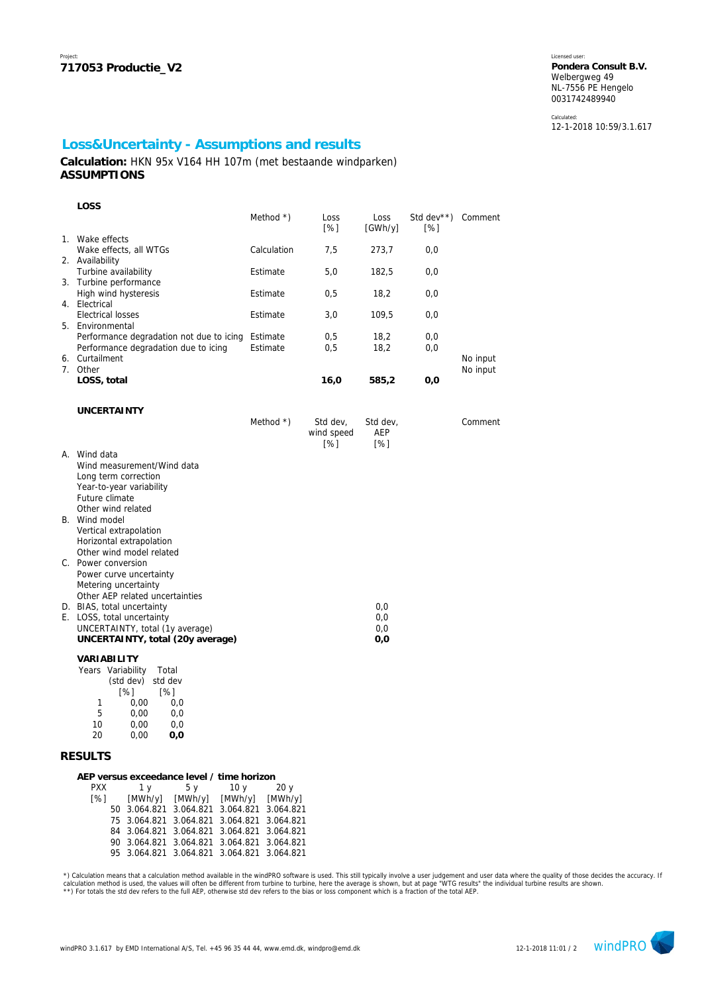Calculated: 12-1-2018 10:59/3.1.617

## **Loss&Uncertainty - Assumptions and results**

**Calculation:** HKN 95x V164 HH 107m (met bestaande windparken) **ASSUMPTIONS**

| LOSS                                                   |              |                            |                 |                                |          |
|--------------------------------------------------------|--------------|----------------------------|-----------------|--------------------------------|----------|
|                                                        | Method $*$ ) | Loss<br>$\lceil \% \rceil$ | Loss<br>[GWh/y] | Std dev <sup>**</sup> )<br>[%] | Comment  |
| 1. Wake effects                                        |              |                            |                 |                                |          |
| Wake effects, all WTGs                                 | Calculation  | 7,5                        | 273,7           | 0,0                            |          |
| 2. Availability                                        | Estimate     |                            |                 |                                |          |
| Turbine availability<br>3. Turbine performance         |              | 5,0                        | 182,5           | 0,0                            |          |
| High wind hysteresis                                   | Estimate     | 0,5                        | 18,2            | 0,0                            |          |
| 4. Electrical                                          |              |                            |                 |                                |          |
| <b>Electrical losses</b>                               | Estimate     | 3,0                        | 109,5           | 0,0                            |          |
| 5. Environmental                                       |              |                            |                 |                                |          |
| Performance degradation not due to icing               | Estimate     | 0,5                        | 18,2            | 0,0                            |          |
| Performance degradation due to icing<br>6. Curtailment | Estimate     | 0,5                        | 18,2            | 0,0                            | No input |
| 7. Other                                               |              |                            |                 |                                | No input |
| LOSS, total                                            |              | 16,0                       | 585,2           | 0,0                            |          |
|                                                        |              |                            |                 |                                |          |
| <b>UNCERTAINTY</b>                                     |              |                            |                 |                                |          |
|                                                        | Method $*$ ) | Std dev,                   | Std dev,        |                                | Comment  |
|                                                        |              | wind speed                 | AEP             |                                |          |
|                                                        |              | [%]                        | [%]             |                                |          |
| A. Wind data                                           |              |                            |                 |                                |          |
| Wind measurement/Wind data                             |              |                            |                 |                                |          |
| Long term correction<br>Year-to-year variability       |              |                            |                 |                                |          |
| Future climate                                         |              |                            |                 |                                |          |
| Other wind related                                     |              |                            |                 |                                |          |
| B. Wind model                                          |              |                            |                 |                                |          |
| Vertical extrapolation                                 |              |                            |                 |                                |          |
| Horizontal extrapolation                               |              |                            |                 |                                |          |
| Other wind model related                               |              |                            |                 |                                |          |
| C. Power conversion<br>Power curve uncertainty         |              |                            |                 |                                |          |
| Metering uncertainty                                   |              |                            |                 |                                |          |
| Other AEP related uncertainties                        |              |                            |                 |                                |          |
| D. BIAS, total uncertainty                             |              |                            | 0,0             |                                |          |
| E. LOSS, total uncertainty                             |              |                            | 0,0             |                                |          |
| UNCERTAINTY, total (1y average)                        |              |                            | 0,0             |                                |          |
| UNCERTAINTY, total (20y average)                       |              |                            | 0,0             |                                |          |
| VARIABILITY                                            |              |                            |                 |                                |          |
| Years Variability<br>Total                             |              |                            |                 |                                |          |
| (std dev)<br>std dev                                   |              |                            |                 |                                |          |
| [%]<br>[%]<br>1<br>0,00<br>0,0                         |              |                            |                 |                                |          |
|                                                        |              |                            |                 |                                |          |

#### **RESULTS**

5 0,00 0,0 10 0,00 0,0  $0.00$ 

| AEP versus exceedance level / time horizon |  |     |               |                                               |     |  |  |
|--------------------------------------------|--|-----|---------------|-----------------------------------------------|-----|--|--|
| <b>PXX</b>                                 |  | 1 y | $5 \text{ V}$ | 10v                                           | 20y |  |  |
|                                            |  |     |               | $[%]$ $[MWh/y]$ $[MWh/y]$ $[MWh/y]$ $[MWh/y]$ |     |  |  |
|                                            |  |     |               | 50 3.064.821 3.064.821 3.064.821 3.064.821    |     |  |  |
|                                            |  |     |               | 75 3.064.821 3.064.821 3.064.821 3.064.821    |     |  |  |
|                                            |  |     |               | 84 3.064.821 3.064.821 3.064.821 3.064.821    |     |  |  |
|                                            |  |     |               | 90 3.064.821 3.064.821 3.064.821 3.064.821    |     |  |  |
|                                            |  |     |               | 95 3.064.821 3.064.821 3.064.821 3.064.821    |     |  |  |
|                                            |  |     |               |                                               |     |  |  |

\*) Calculation means that a calculation method available in the windPRO software is used. This still typically involve a user judgement and user data where the quality of those decides the accuracy. If and the wall and the

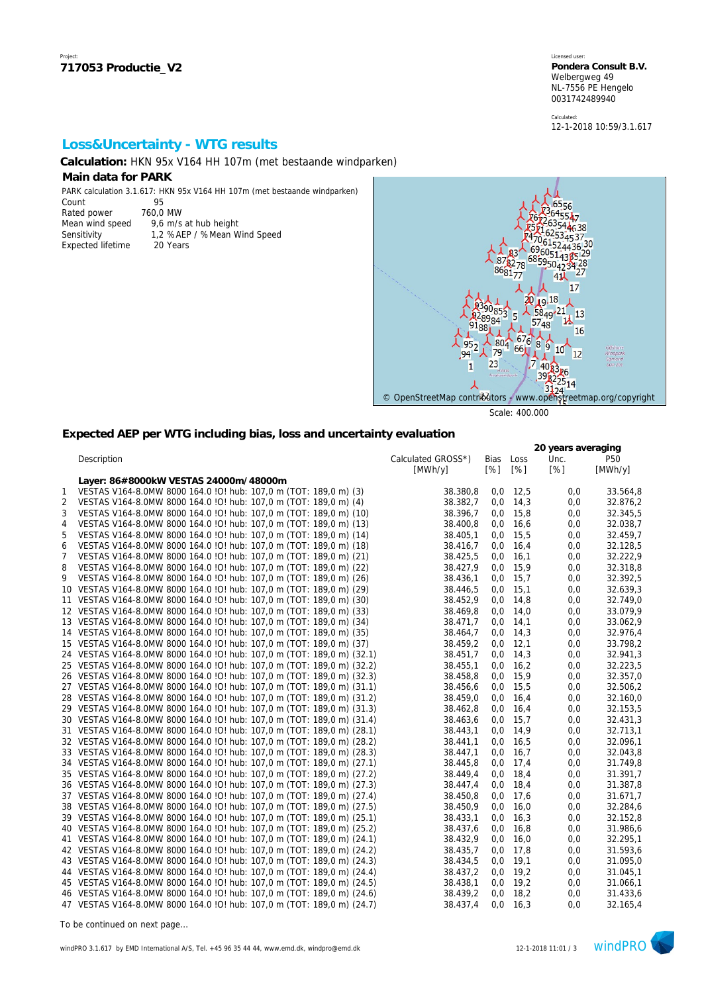Calculated: 12-1-2018 10:59/3.1.617

## **Loss&Uncertainty - WTG results**

**Calculation:** HKN 95x V164 HH 107m (met bestaande windparken)

### **Main data for PARK**

PARK calculation 3.1.617: HKN 95x V164 HH 107m (met bestaande windparken) 

| Count                    | Чh         |
|--------------------------|------------|
| Rated power              | 760,0 MW   |
| Mean wind speed          | 9,6 m/s at |
| Sensitivity              | 1.2 %AEP   |
| <b>Expected lifetime</b> | 20 Years   |

60,0 MW 9,6 m/s at hub height

1,2 %AEP / %Mean Wind Speed



Scale: 400.000

### **Expected AEP per WTG including bias, loss and uncertainty evaluation**

|                |                                                                         |                    |      |      | 20 years averaging |          |
|----------------|-------------------------------------------------------------------------|--------------------|------|------|--------------------|----------|
|                | Description                                                             | Calculated GROSS*) | Bias | Loss | Unc.               | P50      |
|                |                                                                         | [MWh/y]            | [%]  | [%]  | [%]                | [MWh/y]  |
|                | Layer: 86#8000kW VESTAS 24000m/48000m                                   |                    |      |      |                    |          |
| 1              | VESTAS V164-8.0MW 8000 164.0 !O! hub: 107,0 m (TOT: 189,0 m) (3)        | 38.380.8           | 0,0  | 12,5 | 0,0                | 33.564,8 |
| $\overline{2}$ | VESTAS V164-8.0MW 8000 164.0 ! O! hub: 107,0 m (TOT: 189,0 m) (4)       | 38.382,7           | 0,0  | 14,3 | 0,0                | 32.876,2 |
| 3              | VESTAS V164-8.0MW 8000 164.0 ! O! hub: 107,0 m (TOT: 189,0 m) (10)      | 38.396,7           | 0,0  | 15,8 | 0,0                | 32.345,5 |
| $\overline{4}$ | VESTAS V164-8.0MW 8000 164.0 IO! hub: 107,0 m (TOT: 189,0 m) (13)       | 38.400,8           | 0,0  | 16,6 | 0,0                | 32.038,7 |
| 5              | VESTAS V164-8.0MW 8000 164.0 !O! hub: 107,0 m (TOT: 189,0 m) (14)       | 38.405,1           | 0,0  | 15,5 | 0,0                | 32.459,7 |
| 6              | VESTAS V164-8.0MW 8000 164.0 !O! hub: 107,0 m (TOT: 189,0 m) (18)       | 38.416,7           | 0,0  | 16,4 | 0,0                | 32.128,5 |
| $\overline{7}$ | VESTAS V164-8.0MW 8000 164.0 ! O! hub: 107,0 m (TOT: 189,0 m) (21)      | 38.425,5           | 0,0  | 16,1 | 0,0                | 32.222,9 |
| 8              | VESTAS V164-8.0MW 8000 164.0 IO! hub: 107,0 m (TOT: 189,0 m) (22)       | 38.427,9           | 0,0  | 15,9 | 0,0                | 32.318,8 |
| 9              | VESTAS V164-8.0MW 8000 164.0 !O! hub: 107,0 m (TOT: 189,0 m) (26)       | 38.436,1           | 0,0  | 15,7 | 0,0                | 32.392,5 |
|                | 10 VESTAS V164-8.0MW 8000 164.0 !O! hub: 107,0 m (TOT: 189,0 m) (29)    | 38.446,5           | 0,0  | 15,1 | 0,0                | 32.639,3 |
|                | 11 VESTAS V164-8.0MW 8000 164.0 !O! hub: 107,0 m (TOT: 189,0 m) (30)    | 38.452,9           | 0,0  | 14,8 | 0,0                | 32.749,0 |
|                | 12 VESTAS V164-8.0MW 8000 164.0 IO! hub: 107,0 m (TOT: 189,0 m) (33)    | 38.469,8           | 0,0  | 14,0 | 0,0                | 33.079,9 |
|                | 13 VESTAS V164-8.0MW 8000 164.0 !0! hub: 107,0 m (TOT: 189,0 m) (34)    | 38.471,7           | 0,0  | 14,1 | 0,0                | 33.062,9 |
|                | 14 VESTAS V164-8.0MW 8000 164.0 !O! hub: 107,0 m (TOT: 189,0 m) (35)    | 38.464,7           | 0,0  | 14,3 | 0,0                | 32.976,4 |
|                | 15 VESTAS V164-8.0MW 8000 164.0 !O! hub: 107,0 m (TOT: 189,0 m) (37)    | 38.459,2           | 0,0  | 12,1 | 0,0                | 33.798,2 |
|                | 24 VESTAS V164-8.0MW 8000 164.0 IO! hub: 107,0 m (TOT: 189,0 m) (32.1)  | 38.451,7           | 0,0  | 14,3 | 0,0                | 32.941,3 |
|                | 25 VESTAS V164-8.0MW 8000 164.0 !O! hub: 107,0 m (TOT: 189,0 m) (32.2)  | 38.455,1           | 0,0  | 16,2 | 0,0                | 32.223,5 |
|                | 26 VESTAS V164-8.0MW 8000 164.0 IO! hub: 107,0 m (TOT: 189,0 m) (32.3)  | 38.458,8           | 0,0  | 15,9 | 0,0                | 32.357,0 |
|                | 27 VESTAS V164-8.0MW 8000 164.0 !O! hub: 107,0 m (TOT: 189,0 m) (31.1)  | 38.456,6           | 0,0  | 15,5 | 0,0                | 32.506,2 |
|                | 28 VESTAS V164-8.0MW 8000 164.0 IO! hub: 107,0 m (TOT: 189,0 m) (31.2)  | 38.459,0           | 0,0  | 16,4 | 0,0                | 32.160,0 |
|                | 29 VESTAS V164-8.0MW 8000 164.0 IO! hub: 107,0 m (TOT: 189,0 m) (31.3)  | 38.462,8           | 0,0  | 16,4 | 0,0                | 32.153,5 |
|                | 30 VESTAS V164-8.0MW 8000 164.0 !O! hub: 107,0 m (TOT: 189,0 m) (31.4)  | 38.463,6           | 0,0  | 15,7 | 0,0                | 32.431,3 |
|                | 31 VESTAS V164-8.0MW 8000 164.0 IO! hub: 107,0 m (TOT: 189,0 m) (28.1)  | 38.443,1           | 0,0  | 14,9 | 0,0                | 32.713,1 |
|                | 32 VESTAS V164-8.0MW 8000 164.0 IO! hub: 107,0 m (TOT: 189,0 m) (28.2)  | 38.441,1           | 0,0  | 16,5 | 0,0                | 32.096,1 |
|                | 33 VESTAS V164-8.0MW 8000 164.0 ! O! hub: 107,0 m (TOT: 189,0 m) (28.3) | 38.447,1           | 0,0  | 16,7 | 0,0                | 32.043,8 |
|                | 34 VESTAS V164-8.0MW 8000 164.0 IO! hub: 107,0 m (TOT: 189,0 m) (27.1)  | 38.445,8           | 0,0  | 17,4 | 0,0                | 31.749,8 |
|                | 35 VESTAS V164-8.0MW 8000 164.0 ! O! hub: 107,0 m (TOT: 189,0 m) (27.2) | 38.449,4           | 0,0  | 18,4 | 0,0                | 31.391,7 |
|                | 36 VESTAS V164-8.0MW 8000 164.0 IO! hub: 107,0 m (TOT: 189,0 m) (27.3)  | 38.447,4           | 0,0  | 18,4 | 0,0                | 31.387,8 |
|                | 37 VESTAS V164-8.0MW 8000 164.0 ! O! hub: 107,0 m (TOT: 189,0 m) (27.4) | 38.450,8           | 0,0  | 17,6 | 0,0                | 31.671,7 |
|                | 38 VESTAS V164-8.0MW 8000 164.0 !O! hub: 107,0 m (TOT: 189,0 m) (27.5)  | 38.450,9           | 0,0  | 16,0 | 0,0                | 32.284,6 |
|                | 39 VESTAS V164-8.0MW 8000 164.0 IO! hub: 107,0 m (TOT: 189,0 m) (25.1)  | 38.433,1           | 0,0  | 16,3 | 0,0                | 32.152,8 |
|                | 40 VESTAS V164-8.0MW 8000 164.0 ! O! hub: 107,0 m (TOT: 189,0 m) (25.2) | 38.437,6           | 0,0  | 16,8 | 0,0                | 31.986,6 |
|                | 41 VESTAS V164-8.0MW 8000 164.0 IO! hub: 107,0 m (TOT: 189,0 m) (24.1)  | 38.432.9           | 0,0  | 16,0 | 0,0                | 32.295,1 |
|                | 42 VESTAS V164-8.0MW 8000 164.0 !O! hub: 107,0 m (TOT: 189,0 m) (24.2)  | 38.435,7           | 0,0  | 17,8 | 0,0                | 31.593,6 |
|                | 43 VESTAS V164-8.0MW 8000 164.0 IO! hub: 107,0 m (TOT: 189,0 m) (24.3)  | 38.434,5           | 0,0  | 19,1 | 0,0                | 31.095,0 |
|                | 44 VESTAS V164-8.0MW 8000 164.0 IO! hub: 107,0 m (TOT: 189,0 m) (24.4)  | 38.437,2           | 0,0  | 19,2 | 0,0                | 31.045,1 |
|                | 45 VESTAS V164-8.0MW 8000 164.0 ! O! hub: 107,0 m (TOT: 189,0 m) (24.5) | 38.438,1           | 0,0  | 19,2 | 0,0                | 31.066,1 |
|                | 46 VESTAS V164-8.0MW 8000 164.0 IO! hub: 107,0 m (TOT: 189,0 m) (24.6)  | 38.439,2           | 0,0  | 18,2 | 0.0                | 31.433,6 |
|                | 47 VESTAS V164-8.0MW 8000 164.0 !O! hub: 107,0 m (TOT: 189,0 m) (24.7)  | 38.437.4           | 0,0  | 16.3 | 0.0                | 32.165,4 |

*To be continued on next page...*